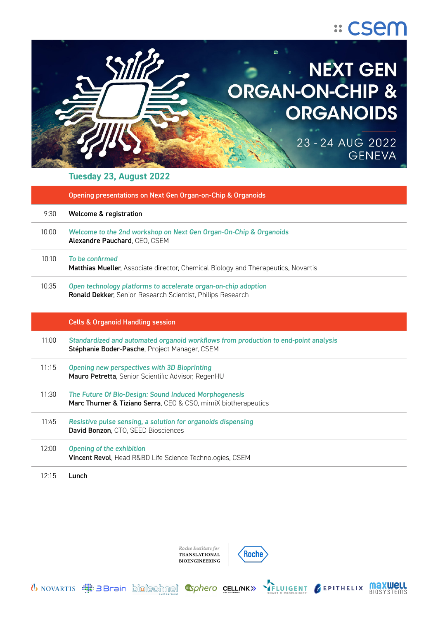



## **Tuesday 23, August 2022**

|       | Opening presentations on Next Gen Organ-on-Chip & Organoids                                                                          |
|-------|--------------------------------------------------------------------------------------------------------------------------------------|
| 9:30  | <b>Welcome &amp; registration</b>                                                                                                    |
| 10:00 | Welcome to the 2nd workshop on Next Gen Organ-On-Chip & Organoids<br>Alexandre Pauchard, CEO, CSEM                                   |
| 10:10 | To be confirmed<br>Matthias Mueller, Associate director, Chemical Biology and Therapeutics, Novartis                                 |
| 10:35 | Open technology platforms to accelerate organ-on-chip adoption<br>Ronald Dekker, Senior Research Scientist, Philips Research         |
|       | <b>Cells &amp; Organoid Handling session</b>                                                                                         |
| 11:00 | Standardized and automated organoid workflows from production to end-point analysis<br>Stéphanie Boder-Pasche, Project Manager, CSEM |
| 11:15 | Opening new perspectives with 3D Bioprinting<br>Mauro Petretta, Senior Scientific Advisor, RegenHU                                   |
| 11:30 | The Future Of Bio-Design: Sound Induced Morphogenesis<br>Marc Thurner & Tiziano Serra, CEO & CSO, mimiX biotherapeutics              |
| 11:45 | Resistive pulse sensing, a solution for organoids dispensing<br>David Bonzon, CTO, SEED Biosciences                                  |
| 12:00 | <b>Opening of the exhibition</b><br>Vincent Revol, Head R&BD Life Science Technologies, CSEM                                         |
| 12:15 | Lunch                                                                                                                                |

Roche Institute for TRANSLATIONAL **BIOENGINEERING** 

U NOVARTIS **EDIT EDITED AT SOME CONTACT SOMETIME AND SHART MICROFIUDICS** 

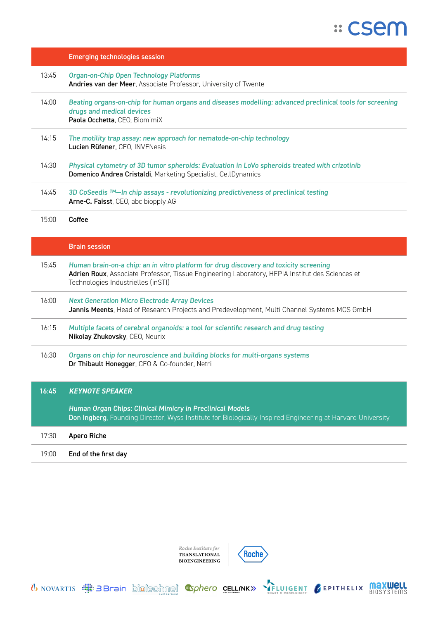

|       | <b>Emerging technologies session</b>                                                                                                                                                                                           |
|-------|--------------------------------------------------------------------------------------------------------------------------------------------------------------------------------------------------------------------------------|
| 13:45 | <b>Organ-on-Chip Open Technology Platforms</b><br>Andries van der Meer, Associate Professor, University of Twente                                                                                                              |
| 14:00 | Beating organs-on-chip for human organs and diseases modelling: advanced preclinical tools for screening<br>drugs and medical devices<br>Paola Occhetta, CEO, BiomimiX                                                         |
| 14:15 | The motility trap assay: new approach for nematode-on-chip technology<br>Lucien Rüfener, CEO, INVENesis                                                                                                                        |
| 14:30 | Physical cytometry of 3D tumor spheroids: Evaluation in LoVo spheroids treated with crizotinib<br>Domenico Andrea Cristaldi, Marketing Specialist, CellDynamics                                                                |
| 14:45 | 3D CoSeedis ™-In chip assays - revolutionizing predictiveness of preclinical testing<br>Arne-C. Faisst, CEO, abc biopply AG                                                                                                    |
| 15:00 | Coffee                                                                                                                                                                                                                         |
|       | <b>Brain session</b>                                                                                                                                                                                                           |
| 15:45 | Human brain-on-a chip: an in vitro platform for drug discovery and toxicity screening<br>Adrien Roux, Associate Professor, Tissue Engineering Laboratory, HEPIA Institut des Sciences et<br>Technologies Industrielles (inSTI) |
| 16:00 | <b>Next Generation Micro Electrode Array Devices</b><br>Jannis Meents, Head of Research Projects and Predevelopment, Multi Channel Systems MCS GmbH                                                                            |
| 16:15 | Multiple facets of cerebral organoids: a tool for scientific research and drug testing<br>Nikolay Zhukovsky, CEO, Neurix                                                                                                       |
| 16:30 | Organs on chip for neuroscience and building blocks for multi-organs systems<br>Dr Thibault Honegger, CEO & Co-founder, Netri                                                                                                  |
| 16:45 | <b>KEYNOTE SPEAKER</b>                                                                                                                                                                                                         |
|       | Human Organ Chips: Clinical Mimicry in Preclinical Models<br>Don Ingberg, Founding Director, Wyss Institute for Biologically Inspired Engineering at Harvard University                                                        |
| 17:30 | <b>Apero Riche</b>                                                                                                                                                                                                             |
| 19:00 | End of the first day                                                                                                                                                                                                           |

Roche Institute for<br>**TRANSLATIONAL BIOENGINEERING** 

U NOVARTIS **EN SUBLEM** SPORT SUBLEM TO DELLINE SPARE MENT CEPITHELIX **MAXWELL** 

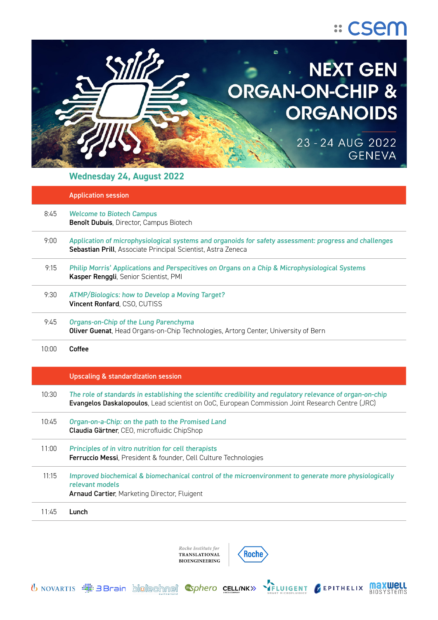



# **Wednesday 24, August 2022**

|       | <b>Application session</b>                                                                                                                                                                                    |
|-------|---------------------------------------------------------------------------------------------------------------------------------------------------------------------------------------------------------------|
| 8:45  | <b>Welcome to Biotech Campus</b><br>Benoît Dubuis, Director, Campus Biotech                                                                                                                                   |
| 9:00  | Application of microphysiological systems and organoids for safety assessment: progress and challenges<br>Sebastian Prill, Associate Principal Scientist, Astra Zeneca                                        |
| 9:15  | Philip Morris' Applications and Perspecitives on Organs on a Chip & Microphysiological Systems<br>Kasper Renggli, Senior Scientist, PMI                                                                       |
| 9:30  | ATMP/Biologics: how to Develop a Moving Target?<br>Vincent Ronfard, CSO, CUTISS                                                                                                                               |
| 9:45  | Organs-on-Chip of the Lung Parenchyma<br>Oliver Guenat, Head Organs-on-Chip Technologies, Artorg Center, University of Bern                                                                                   |
| 10:00 | Coffee                                                                                                                                                                                                        |
|       | <b>Upscaling &amp; standardization session</b>                                                                                                                                                                |
| 10:30 | The role of standards in establishing the scientific credibility and regulatory relevance of organ-on-chip<br>Evangelos Daskalopoulos, Lead scientist on OoC, European Commission Joint Research Centre (JRC) |
| 10:45 | Organ-on-a-Chip: on the path to the Promised Land<br>Claudia Gärtner, CEO, microfluidic ChipShop                                                                                                              |
| 11:00 | Principles of in vitro nutrition for cell therapists<br>Ferruccio Messi, President & founder, Cell Culture Technologies                                                                                       |
| 11:15 |                                                                                                                                                                                                               |
|       | Improved biochemical & biomechanical control of the microenvironment to generate more physiologically<br>relevant models<br>Arnaud Cartier, Marketing Director, Fluigent                                      |



U NOVARTIS **EDIT EDITED AT SOME CONTACT SOMETIME AND SHART MICROFIUDICS**